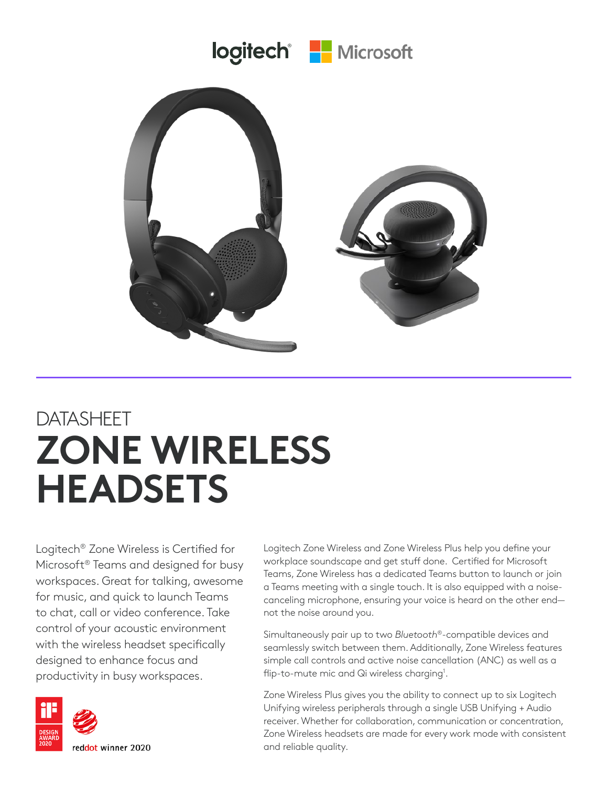

## DATASHEET **ZONE WIRELESS HEADSETS**

Logitech® Zone Wireless is Certified for Microsoft® Teams and designed for busy workspaces. Great for talking, awesome for music, and quick to launch Teams to chat, call or video conference. Take control of your acoustic environment with the wireless headset specifically designed to enhance focus and productivity in busy workspaces.



Logitech Zone Wireless and Zone Wireless Plus help you define your workplace soundscape and get stuff done. Certified for Microsoft Teams, Zone Wireless has a dedicated Teams button to launch or join a Teams meeting with a single touch. It is also equipped with a noisecanceling microphone, ensuring your voice is heard on the other end not the noise around you.

Simultaneously pair up to two *Bluetooth*®-compatible devices and seamlessly switch between them. Additionally, Zone Wireless features simple call controls and active noise cancellation (ANC) as well as a flip-to-mute mic and Qi wireless charging<sup>1</sup>.

Zone Wireless Plus gives you the ability to connect up to six Logitech Unifying wireless peripherals through a single USB Unifying + Audio receiver. Whether for collaboration, communication or concentration, Zone Wireless headsets are made for every work mode with consistent and reliable quality.